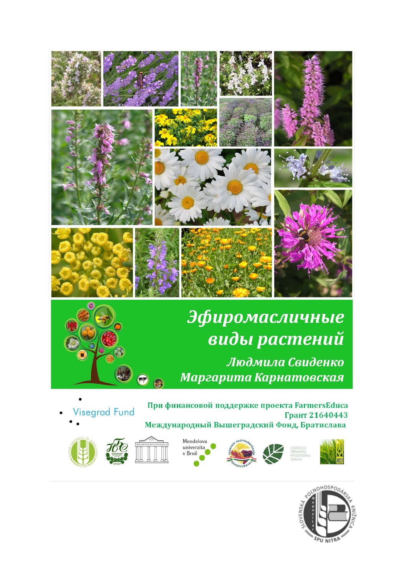

## Эфиромасличные виды растений Людмила Свиденко Маргарита Карнатовская

Visegrad Fund

При финансовой поддержке проекта FarmersEduca Грант 21640443 Международный Вышеградский Фонд, Братислава



























 $\bullet$ 













C.





















































HOSPO

PU NITRI





























































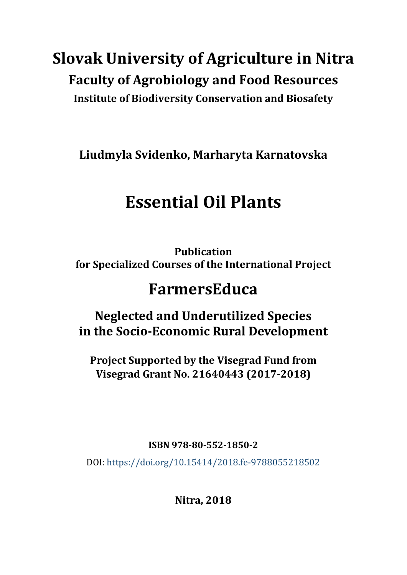## **Slovak University of Agriculture in Nitra Faculty of Agrobiology and Food Resources Institute of Biodiversity Conservation and Biosafety**

**Liudmyla Svidenko, Marharyta Karnatovska**

# **Essential Oil Plants**

**Publication for Specialized Courses of the International Project**

## **FarmersEduca**

### **Neglected and Underutilized Species in the Socio-Economic Rural Development**

**Project Supported by the Visegrad Fund from Visegrad Grant No. 21640443 (2017-2018)**

**ISBN 978-80-552-1850-2** 

DOI: <https://doi.org/10.15414/2018.fe-9788055218502>

**Nitra, 2018**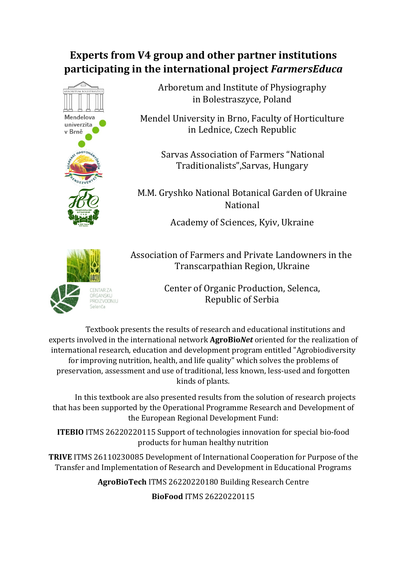### **Experts from V4 group and other partner institutions participating in the international project** *FarmersEduca*



Arboretum and Institute of Physiography in Bolestraszyce, Poland

Mendel University in Brno, Faculty of Horticulture in Lednice, Czech Republic

> Sarvas Association of Farmers "National Traditionalists",Sarvas, Hungary

M.M. Gryshko National Botanical Garden of Ukraine National

Academy of Sciences, Kyiv, Ukraine



Association of Farmers and Private Landowners in the Transcarpathian Region, Ukraine

> Center of Organic Production, Selenca, Republic of Serbia

Textbook presents the results of research and educational institutions and experts involved in the international network **AgroBio***Net* oriented for the realization of international research, education and development program entitled "Agrobiodiversity for improving nutrition, health, and life quality" which solves the problems of preservation, assessment and use of traditional, less known, less-used and forgotten kinds of plants.

In this textbook are also presented results from the solution of research projects that has been supported by the Operational Programme Research and Development of the European Regional Development Fund:

**ITEBIO** ITMS 26220220115 Support of technologies innovation for special bio-food products for human healthy nutrition

**TRIVE** ITMS 26110230085 Development of International Cooperation for Purpose of the Transfer and Implementation of Research and Development in Educational Programs

**AgroBioTech** ITMS 26220220180 Building Research Centre

**BioFood** ITMS 26220220115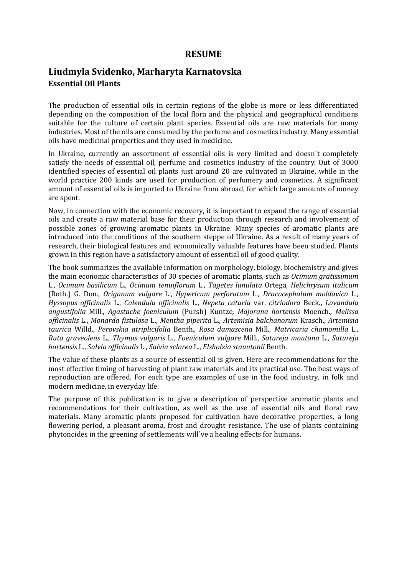#### **RESUME**

### **Liudmyla Svidenko, Marharyta Karnatovska Essential Oil Plants**

The production of essential oils in certain regions of the globe is more or less differentiated depending on the composition of the local flora and the physical and geographical conditions suitable for the culture of certain plant species. Essential oils are raw materials for many industries. Most of the oils are consumed by the perfume and cosmetics industry. Many essential oils have medicinal properties and they used in medicine.

In Ukraine, currently an assortment of essential oils is very limited and doesn´t completely satisfy the needs of essential oil, perfume and cosmetics industry of the country. Out of 3000 identified species of essential oil plants just around 20 are cultivated in Ukraine, while in the world practice 200 kinds are used for production of perfumery and cosmetics. A significant amount of essential oils is imported to Ukraine from abroad, for which large amounts of money are spent.

Now, in connection with the economic recovery, it is important to expand the range of essential oils and create a raw material base for their production through research and involvement of possible zones of growing aromatic plants in Ukraine. Many species of aromatic plants are introduced into the conditions of the southern steppe of Ukraine. As a result of many years of research, their biological features and economically valuable features have been studied. Plants grown in this region have a satisfactory amount of essential oil of good quality.

The book summarizes the available information on morphology, biology, biochemistry and gives the main economic characteristics of 30 species of aromatic plants, such as *Ocimum gratissimum* L., *Ocimum basilicum* L., *Ocimum tenuiflorum* L., *Tagetes lunulata* Ortega, *Helichrysum italicum* (Roth.) G. Don., *Origanum vulgare* L., *Hypericum perforatum* L., *Dracocephalum moldavica* L., *Hyssopus officinalis* L., *Calendula officinalis* L., *Nepeta cataria* var. *citriodora* Beck., *Lavandula angustifolia* Mill., *Agastache foeniculum* (Pursh) Kuntze*, Majorana hortensis* Moench.*, Melissa officinalis* L., *Monarda fistulosa* L., *Mentha piperita* L., *Artemisia balchanorum* Krasch., *Artemisia taurica* Willd., *Perovskia atriplicifolia* Benth., *Rosa damascenа* Mill., *Matricaria chamomilla* L., *Ruta graveolens* L., *Thymus vulgaris* L., *Foeniculum vulgare* Mill., *Satureja montana* L., *Satureja hortensis* L., *Salvia officinalis* L., *Salvia sclarea* L., *Elsholzia stauntonii* Benth.

The value of these plants as a source of essential oil is given. Here are recommendations for the most effective timing of harvesting of plant raw materials and its practical use. The best ways of reproduction are offered. For each type are examples of use in the food industry, in folk and modern medicine, in everyday life.

The purpose of this publication is to give a description of perspective aromatic plants and recommendations for their cultivation, as well as the use of essential oils and floral raw materials. Many aromatic plants proposed for cultivation have decorative properties, a long flowering period, a pleasant aroma, frost and drought resistance. The use of plants containing phytoncides in the greening of settlements will´ve a healing effects for humans.